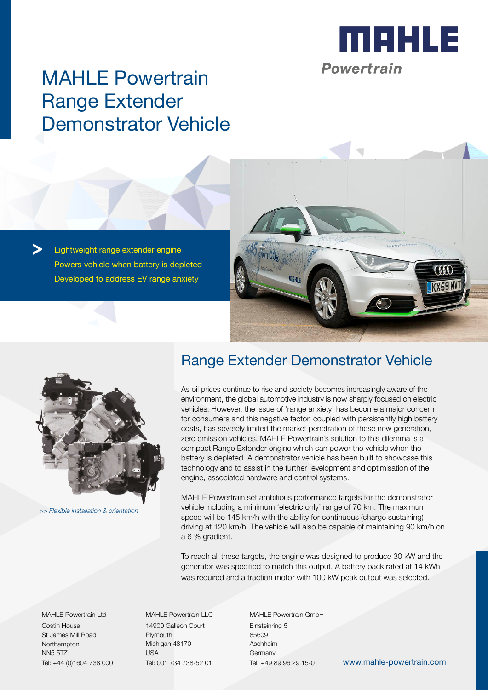

# MAHLE Powertrain Range Extender Demonstrator Vehicle

Lightweight range extender engine Powers vehicle when battery is depleted Developed to address EV range anxiety





*>> Flexible installation & orientation*

### Range Extender Demonstrator Vehicle

As oil prices continue to rise and society becomes increasingly aware of the environment, the global automotive industry is now sharply focused on electric vehicles. However, the issue of 'range anxiety' has become a major concern for consumers and this negative factor, coupled with persistently high battery costs, has severely limited the market penetration of these new generation, zero emission vehicles. MAHLE Powertrain's solution to this dilemma is a compact Range Extender engine which can power the vehicle when the battery is depleted. A demonstrator vehicle has been built to showcase this technology and to assist in the further evelopment and optimisation of the engine, associated hardware and control systems.

MAHLE Powertrain set ambitious performance targets for the demonstrator vehicle including a minimum 'electric only' range of 70 km. The maximum speed will be 145 km/h with the ability for continuous (charge sustaining) driving at 120 km/h. The vehicle will also be capable of maintaining 90 km/h on a 6 % gradient.

To reach all these targets, the engine was designed to produce 30 kW and the generator was specified to match this output. A battery pack rated at 14 kWh was required and a traction motor with 100 kW peak output was selected.

MAHLE Powertrain Ltd Costin House St James Mill Road **Northampton** NN5 5TZ Tel: +44 (0)1604 738 000

MAHLE Powertrain LLC 14900 Galleon Court Plymouth Michigan 48170 USA Tel: 001 734 738-52 01

MAHLE Powertrain GmbH Einsteinring 5 85609 Aschheim **Germany** 

Tel: +49 89 96 29 15-0 www.mahle-powertrain.com